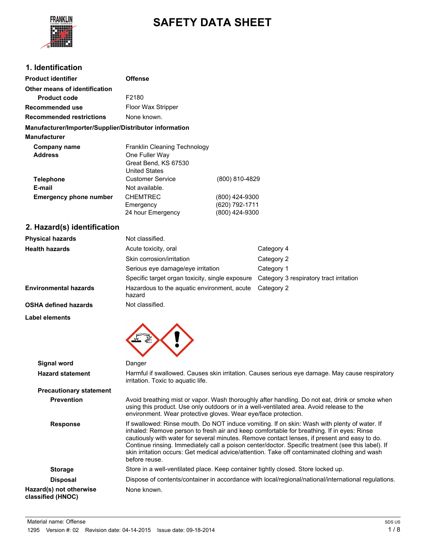

# **SAFETY DATA SHEET**

## **1. Identification**

| <b>Product identifier</b>                              | <b>Offense</b>                                                                                                                                                                                                                                               |                                                    |                                         |
|--------------------------------------------------------|--------------------------------------------------------------------------------------------------------------------------------------------------------------------------------------------------------------------------------------------------------------|----------------------------------------------------|-----------------------------------------|
| Other means of identification                          |                                                                                                                                                                                                                                                              |                                                    |                                         |
| <b>Product code</b>                                    | F2180                                                                                                                                                                                                                                                        |                                                    |                                         |
| Recommended use                                        | Floor Wax Stripper                                                                                                                                                                                                                                           |                                                    |                                         |
| <b>Recommended restrictions</b>                        | None known.                                                                                                                                                                                                                                                  |                                                    |                                         |
| Manufacturer/Importer/Supplier/Distributor information |                                                                                                                                                                                                                                                              |                                                    |                                         |
| <b>Manufacturer</b>                                    |                                                                                                                                                                                                                                                              |                                                    |                                         |
| <b>Company name</b><br><b>Address</b>                  | Franklin Cleaning Technology<br>One Fuller Way<br>Great Bend, KS 67530<br><b>United States</b>                                                                                                                                                               |                                                    |                                         |
| <b>Telephone</b>                                       | <b>Customer Service</b>                                                                                                                                                                                                                                      | (800) 810-4829                                     |                                         |
| E-mail                                                 | Not available.                                                                                                                                                                                                                                               |                                                    |                                         |
| <b>Emergency phone number</b>                          | <b>CHEMTREC</b><br>Emergency<br>24 hour Emergency                                                                                                                                                                                                            | (800) 424-9300<br>(620) 792-1711<br>(800) 424-9300 |                                         |
| 2. Hazard(s) identification                            |                                                                                                                                                                                                                                                              |                                                    |                                         |
| <b>Physical hazards</b>                                | Not classified.                                                                                                                                                                                                                                              |                                                    |                                         |
| <b>Health hazards</b>                                  | Acute toxicity, oral                                                                                                                                                                                                                                         |                                                    | Category 4                              |
|                                                        | Skin corrosion/irritation                                                                                                                                                                                                                                    |                                                    | Category 2                              |
|                                                        | Serious eye damage/eye irritation                                                                                                                                                                                                                            |                                                    | Category 1                              |
|                                                        | Specific target organ toxicity, single exposure                                                                                                                                                                                                              |                                                    | Category 3 respiratory tract irritation |
| <b>Environmental hazards</b>                           | Hazardous to the aquatic environment, acute<br>hazard                                                                                                                                                                                                        |                                                    | Category 2                              |
| <b>OSHA defined hazards</b>                            | Not classified.                                                                                                                                                                                                                                              |                                                    |                                         |
| <b>Label elements</b>                                  |                                                                                                                                                                                                                                                              |                                                    |                                         |
|                                                        |                                                                                                                                                                                                                                                              |                                                    |                                         |
| <b>Signal word</b>                                     | Danger                                                                                                                                                                                                                                                       |                                                    |                                         |
| <b>Hazard statement</b>                                | Harmful if swallowed. Causes skin irritation. Causes serious eye damage. May cause respiratory<br>irritation. Toxic to aquatic life.                                                                                                                         |                                                    |                                         |
| <b>Precautionary statement</b>                         |                                                                                                                                                                                                                                                              |                                                    |                                         |
| <b>Prevention</b>                                      | Avoid breathing mist or vapor. Wash thoroughly after handling. Do not eat, drink or smoke when<br>using this product. Use only outdoors or in a well-ventilated area. Avoid release to the<br>environment. Wear protective gloves. Wear eye/face protection. |                                                    |                                         |

**Response** If swallowed: Rinse mouth. Do NOT induce vomiting. If on skin: Wash with plenty of water. If inhaled: Remove person to fresh air and keep comfortable for breathing. If in eyes: Rinse cautiously with water for several minutes. Remove contact lenses, if present and easy to do. Continue rinsing. Immediately call a poison center/doctor. Specific treatment (see this label). If skin irritation occurs: Get medical advice/attention. Take off contaminated clothing and wash before reuse. **Storage** Store in a well-ventilated place. Keep container tightly closed. Store locked up.

**Disposal** Dispose of contents/container in accordance with local/regional/national/international regulations. **Hazard(s) not otherwise classified (HNOC)** None known.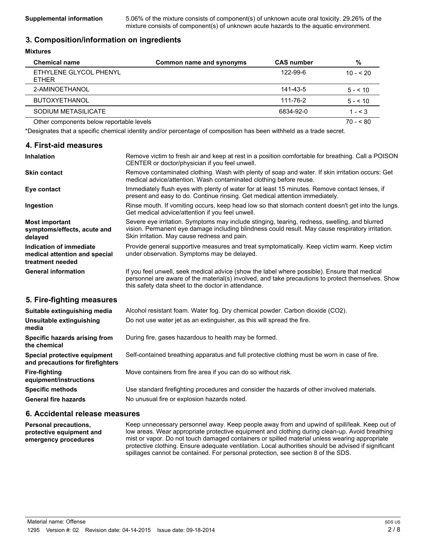**Supplemental information** 5.06% of the mixture consists of component(s) of unknown acute oral toxicity. 29.26% of the mixture consists of component(s) of unknown acute hazards to the aquatic environment.

## **3. Composition/information on ingredients**

#### **Mixtures**

| <b>Chemical name</b>                     | Common name and synonyms | <b>CAS number</b> | %          |
|------------------------------------------|--------------------------|-------------------|------------|
| ETHYLENE GLYCOL PHENYL<br><b>FTHFR</b>   |                          | 122-99-6          | $10 - 520$ |
| 2-AMINOETHANOL                           |                          | 141-43-5          | $5 - 510$  |
| <b>BUTOXYETHANOL</b>                     |                          | 111-76-2          | $5 - 10$   |
| SODIUM METASILICATE                      |                          | 6834-92-0         | $1 - 3$    |
| Other components below reportable levels |                          |                   | $70 - 80$  |

\*Designates that a specific chemical identity and/or percentage of composition has been withheld as a trade secret.

## **4. First-aid measures**

| <b>Inhalation</b>                                                            | Remove victim to fresh air and keep at rest in a position comfortable for breathing. Call a POISON<br>CENTER or doctor/physician if you feel unwell.                                                                                                     |  |
|------------------------------------------------------------------------------|----------------------------------------------------------------------------------------------------------------------------------------------------------------------------------------------------------------------------------------------------------|--|
| <b>Skin contact</b>                                                          | Remove contaminated clothing. Wash with plenty of soap and water. If skin irritation occurs: Get<br>medical advice/attention. Wash contaminated clothing before reuse.                                                                                   |  |
| Eye contact                                                                  | Immediately flush eyes with plenty of water for at least 15 minutes. Remove contact lenses, if<br>present and easy to do. Continue rinsing. Get medical attention immediately.                                                                           |  |
| Ingestion                                                                    | Rinse mouth. If vomiting occurs, keep head low so that stomach content doesn't get into the lungs.<br>Get medical advice/attention if you feel unwell.                                                                                                   |  |
| <b>Most important</b><br>symptoms/effects, acute and<br>delayed              | Severe eye irritation. Symptoms may include stinging, tearing, redness, swelling, and blurred<br>vision. Permanent eye damage including blindness could result. May cause respiratory irritation.<br>Skin irritation. May cause redness and pain.        |  |
| Indication of immediate<br>medical attention and special<br>treatment needed | Provide general supportive measures and treat symptomatically. Keep victim warm. Keep victim<br>under observation. Symptoms may be delayed.                                                                                                              |  |
| <b>General information</b>                                                   | If you feel unwell, seek medical advice (show the label where possible). Ensure that medical<br>personnel are aware of the material(s) involved, and take precautions to protect themselves. Show<br>this safety data sheet to the doctor in attendance. |  |
| 5. Fire-fighting measures                                                    |                                                                                                                                                                                                                                                          |  |
| Suitable extinguishing media                                                 | Alcohol resistant foam. Water fog. Dry chemical powder. Carbon dioxide (CO2).                                                                                                                                                                            |  |
| Unsuitable extinguishing<br>media                                            | Do not use water jet as an extinguisher, as this will spread the fire.                                                                                                                                                                                   |  |
| Specific hazards arising from<br>the chemical                                | During fire, gases hazardous to health may be formed.                                                                                                                                                                                                    |  |
| Special protective equipment<br>and precautions for firefighters             | Self-contained breathing apparatus and full protective clothing must be worn in case of fire.                                                                                                                                                            |  |
| <b>Fire-fighting</b><br>equipment/instructions                               | Move containers from fire area if you can do so without risk.                                                                                                                                                                                            |  |
| <b>Specific methods</b>                                                      | Use standard firefighting procedures and consider the hazards of other involved materials.                                                                                                                                                               |  |
| <b>General fire hazards</b>                                                  | No unusual fire or explosion hazards noted.                                                                                                                                                                                                              |  |

## **6. Accidental release measures**

**Personal precautions, protective equipment and emergency procedures** Keep unnecessary personnel away. Keep people away from and upwind of spill/leak. Keep out of low areas. Wear appropriate protective equipment and clothing during clean-up. Avoid breathing mist or vapor. Do not touch damaged containers or spilled material unless wearing appropriate protective clothing. Ensure adequate ventilation. Local authorities should be advised if significant spillages cannot be contained. For personal protection, see section 8 of the SDS.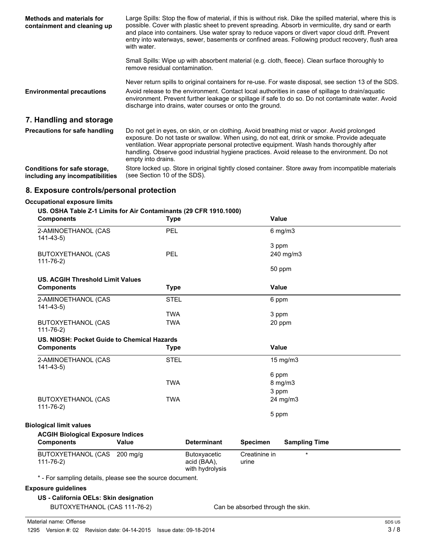| <b>Methods and materials for</b><br>containment and cleaning up | Large Spills: Stop the flow of material, if this is without risk. Dike the spilled material, where this is<br>possible. Cover with plastic sheet to prevent spreading. Absorb in vermiculite, dry sand or earth<br>and place into containers. Use water spray to reduce vapors or divert vapor cloud drift. Prevent<br>entry into waterways, sewer, basements or confined areas. Following product recovery, flush area<br>with water. |
|-----------------------------------------------------------------|----------------------------------------------------------------------------------------------------------------------------------------------------------------------------------------------------------------------------------------------------------------------------------------------------------------------------------------------------------------------------------------------------------------------------------------|
|                                                                 | Small Spills: Wipe up with absorbent material (e.g. cloth, fleece). Clean surface thoroughly to<br>remove residual contamination.                                                                                                                                                                                                                                                                                                      |
|                                                                 | Never return spills to original containers for re-use. For waste disposal, see section 13 of the SDS.                                                                                                                                                                                                                                                                                                                                  |
| <b>Environmental precautions</b>                                | Avoid release to the environment. Contact local authorities in case of spillage to drain/aquatic<br>environment. Prevent further leakage or spillage if safe to do so. Do not contaminate water. Avoid<br>discharge into drains, water courses or onto the ground.                                                                                                                                                                     |
| 7. Handling and storage                                         |                                                                                                                                                                                                                                                                                                                                                                                                                                        |
| <b>Precautions for safe handling</b>                            | Do not get in eyes, on skin, or on clothing. Avoid breathing mist or vapor. Avoid prolonged<br>exposure. Do not taste or swallow. When using, do not eat, drink or smoke. Provide adequate<br>ventilation. Wear appropriate personal protective equipment. Wash hands thoroughly after<br>handling. Observe good industrial hygiene practices. Avoid release to the environment. Do not<br>empty into drains.                          |
| Conditions for safe storage,<br>including any incompatibilities | Store locked up. Store in original tightly closed container. Store away from incompatible materials<br>(see Section 10 of the SDS).                                                                                                                                                                                                                                                                                                    |

# **8. Exposure controls/personal protection**

## **Occupational exposure limits**

#### **US. OSHA Table Z-1 Limits for Air Contaminants (29 CFR 1910.1000)**

| <b>Components</b>                                         | <b>Type</b>  |                                | <b>Value</b>    |                      |  |
|-----------------------------------------------------------|--------------|--------------------------------|-----------------|----------------------|--|
| 2-AMINOETHANOL (CAS<br>$141 - 43 - 5$                     | <b>PEL</b>   |                                |                 | $6$ mg/m $3$         |  |
|                                                           |              |                                |                 | 3 ppm                |  |
| <b>BUTOXYETHANOL (CAS</b><br>$111 - 76 - 2$               | <b>PEL</b>   |                                |                 | 240 mg/m3            |  |
|                                                           |              |                                |                 | 50 ppm               |  |
| <b>US. ACGIH Threshold Limit Values</b>                   |              |                                |                 |                      |  |
| <b>Components</b>                                         | <b>Type</b>  |                                | <b>Value</b>    |                      |  |
| 2-AMINOETHANOL (CAS<br>$141 - 43 - 5$                     | <b>STEL</b>  |                                |                 | 6 ppm                |  |
|                                                           | <b>TWA</b>   |                                |                 | 3 ppm                |  |
| <b>BUTOXYETHANOL (CAS</b><br>$111 - 76 - 2)$              | <b>TWA</b>   |                                |                 | 20 ppm               |  |
| US. NIOSH: Pocket Guide to Chemical Hazards               |              |                                |                 |                      |  |
| <b>Components</b>                                         | <b>Type</b>  |                                | Value           |                      |  |
| 2-AMINOETHANOL (CAS<br>$141 - 43 - 5$                     | <b>STEL</b>  |                                |                 | 15 mg/m3             |  |
|                                                           |              |                                |                 | 6 ppm                |  |
|                                                           | <b>TWA</b>   |                                |                 | $8$ mg/m $3$         |  |
|                                                           |              |                                |                 | 3 ppm                |  |
| <b>BUTOXYETHANOL (CAS</b><br>$111 - 76 - 2)$              | <b>TWA</b>   |                                |                 | 24 mg/m3             |  |
|                                                           |              |                                |                 | 5 ppm                |  |
| <b>Biological limit values</b>                            |              |                                |                 |                      |  |
| <b>ACGIH Biological Exposure Indices</b>                  |              |                                |                 |                      |  |
| <b>Components</b>                                         | <b>Value</b> | <b>Determinant</b>             | <b>Specimen</b> | <b>Sampling Time</b> |  |
| BUTOXYETHANOL (CAS 200 mg/g                               |              | Butoxyacetic                   | Creatinine in   | $\star$              |  |
| $111 - 76 - 2$                                            |              | acid (BAA),<br>with hydrolysis | urine           |                      |  |
| * - For sampling details, please see the source document. |              |                                |                 |                      |  |
| <b>Exposure guidelines</b>                                |              |                                |                 |                      |  |
| US - California OELs: Skin designation                    |              |                                |                 |                      |  |

BUTOXYETHANOL (CAS 111-76-2) Can be absorbed through the skin.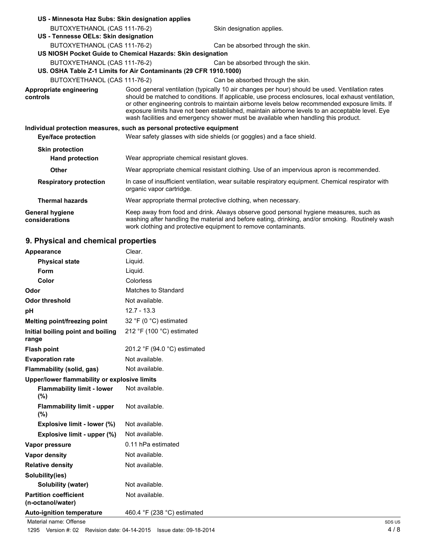| US - Minnesota Haz Subs: Skin designation applies                     |                                                                                                                                                                                                                                                                                                                                                                                                                                                                                                  |                                                                                                                                                                                                                                                            |  |
|-----------------------------------------------------------------------|--------------------------------------------------------------------------------------------------------------------------------------------------------------------------------------------------------------------------------------------------------------------------------------------------------------------------------------------------------------------------------------------------------------------------------------------------------------------------------------------------|------------------------------------------------------------------------------------------------------------------------------------------------------------------------------------------------------------------------------------------------------------|--|
| BUTOXYETHANOL (CAS 111-76-2)                                          |                                                                                                                                                                                                                                                                                                                                                                                                                                                                                                  | Skin designation applies.                                                                                                                                                                                                                                  |  |
| US - Tennesse OELs: Skin designation                                  |                                                                                                                                                                                                                                                                                                                                                                                                                                                                                                  |                                                                                                                                                                                                                                                            |  |
| BUTOXYETHANOL (CAS 111-76-2)                                          |                                                                                                                                                                                                                                                                                                                                                                                                                                                                                                  | Can be absorbed through the skin.                                                                                                                                                                                                                          |  |
|                                                                       | US NIOSH Pocket Guide to Chemical Hazards: Skin designation                                                                                                                                                                                                                                                                                                                                                                                                                                      |                                                                                                                                                                                                                                                            |  |
| BUTOXYETHANOL (CAS 111-76-2)                                          |                                                                                                                                                                                                                                                                                                                                                                                                                                                                                                  | Can be absorbed through the skin.                                                                                                                                                                                                                          |  |
|                                                                       | US. OSHA Table Z-1 Limits for Air Contaminants (29 CFR 1910.1000)                                                                                                                                                                                                                                                                                                                                                                                                                                |                                                                                                                                                                                                                                                            |  |
| BUTOXYETHANOL (CAS 111-76-2)                                          |                                                                                                                                                                                                                                                                                                                                                                                                                                                                                                  | Can be absorbed through the skin.                                                                                                                                                                                                                          |  |
| Appropriate engineering<br>controls                                   | Good general ventilation (typically 10 air changes per hour) should be used. Ventilation rates<br>should be matched to conditions. If applicable, use process enclosures, local exhaust ventilation,<br>or other engineering controls to maintain airborne levels below recommended exposure limits. If<br>exposure limits have not been established, maintain airborne levels to an acceptable level. Eye<br>wash facilities and emergency shower must be available when handling this product. |                                                                                                                                                                                                                                                            |  |
| Individual protection measures, such as personal protective equipment |                                                                                                                                                                                                                                                                                                                                                                                                                                                                                                  |                                                                                                                                                                                                                                                            |  |
| Eye/face protection                                                   | Wear safety glasses with side shields (or goggles) and a face shield.                                                                                                                                                                                                                                                                                                                                                                                                                            |                                                                                                                                                                                                                                                            |  |
| <b>Skin protection</b>                                                |                                                                                                                                                                                                                                                                                                                                                                                                                                                                                                  |                                                                                                                                                                                                                                                            |  |
| <b>Hand protection</b>                                                | Wear appropriate chemical resistant gloves.                                                                                                                                                                                                                                                                                                                                                                                                                                                      |                                                                                                                                                                                                                                                            |  |
| <b>Other</b>                                                          |                                                                                                                                                                                                                                                                                                                                                                                                                                                                                                  | Wear appropriate chemical resistant clothing. Use of an impervious apron is recommended.                                                                                                                                                                   |  |
| <b>Respiratory protection</b>                                         | In case of insufficient ventilation, wear suitable respiratory equipment. Chemical respirator with<br>organic vapor cartridge.                                                                                                                                                                                                                                                                                                                                                                   |                                                                                                                                                                                                                                                            |  |
| <b>Thermal hazards</b>                                                |                                                                                                                                                                                                                                                                                                                                                                                                                                                                                                  | Wear appropriate thermal protective clothing, when necessary.                                                                                                                                                                                              |  |
| <b>General hygiene</b><br>considerations                              |                                                                                                                                                                                                                                                                                                                                                                                                                                                                                                  | Keep away from food and drink. Always observe good personal hygiene measures, such as<br>washing after handling the material and before eating, drinking, and/or smoking. Routinely wash<br>work clothing and protective equipment to remove contaminants. |  |

# **9. Physical and chemical properties**

| <b>Appearance</b>                                 | Clear.                       |  |
|---------------------------------------------------|------------------------------|--|
| <b>Physical state</b>                             | Liquid.                      |  |
| Form                                              | Liguid.                      |  |
| Color                                             | Colorless                    |  |
| Odor                                              | Matches to Standard          |  |
| <b>Odor threshold</b>                             | Not available.               |  |
| рH                                                | $12.7 - 13.3$                |  |
| Melting point/freezing point                      | 32 °F (0 °C) estimated       |  |
| Initial boiling point and boiling<br>range        | 212 °F (100 °C) estimated    |  |
| <b>Flash point</b>                                | 201.2 °F (94.0 °C) estimated |  |
| <b>Evaporation rate</b>                           | Not available.               |  |
| Flammability (solid, gas)                         | Not available.               |  |
| Upper/lower flammability or explosive limits      |                              |  |
| <b>Flammability limit - lower</b><br>(%)          | Not available.               |  |
| <b>Flammability limit - upper</b><br>(%)          | Not available.               |  |
| Explosive limit - lower (%)                       | Not available.               |  |
| Explosive limit - upper (%)                       | Not available.               |  |
| Vapor pressure                                    | 0.11 hPa estimated           |  |
| <b>Vapor density</b>                              | Not available.               |  |
| <b>Relative density</b>                           | Not available.               |  |
| Solubility(ies)                                   |                              |  |
| <b>Solubility (water)</b>                         | Not available.               |  |
| <b>Partition coefficient</b><br>(n-octanol/water) | Not available.               |  |
| <b>Auto-ignition temperature</b>                  | 460.4 °F (238 °C) estimated  |  |

Material name: Offense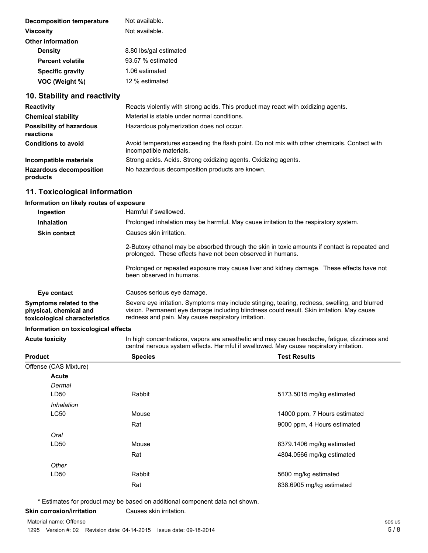| Not available.         |  |
|------------------------|--|
| Not available.         |  |
|                        |  |
| 8.80 lbs/gal estimated |  |
| $93.57%$ estimated     |  |
| 1.06 estimated         |  |
| 12 % estimated         |  |
|                        |  |

# **10. Stability and reactivity**

| <b>Reactivity</b>                            | Reacts violently with strong acids. This product may react with oxidizing agents.                                      |
|----------------------------------------------|------------------------------------------------------------------------------------------------------------------------|
| <b>Chemical stability</b>                    | Material is stable under normal conditions.                                                                            |
| <b>Possibility of hazardous</b><br>reactions | Hazardous polymerization does not occur.                                                                               |
| <b>Conditions to avoid</b>                   | Avoid temperatures exceeding the flash point. Do not mix with other chemicals. Contact with<br>incompatible materials. |
| Incompatible materials                       | Strong acids. Acids. Strong oxidizing agents. Oxidizing agents.                                                        |
| <b>Hazardous decomposition</b><br>products   | No hazardous decomposition products are known.                                                                         |

## **11. Toxicological information**

# **Information on likely routes of exposure**

| Ingestion                                                                          | Harmful if swallowed.                                                                                                                                                                                                                             |
|------------------------------------------------------------------------------------|---------------------------------------------------------------------------------------------------------------------------------------------------------------------------------------------------------------------------------------------------|
| <b>Inhalation</b>                                                                  | Prolonged inhalation may be harmful. May cause irritation to the respiratory system.                                                                                                                                                              |
| <b>Skin contact</b>                                                                | Causes skin irritation.                                                                                                                                                                                                                           |
|                                                                                    | 2-Butoxy ethanol may be absorbed through the skin in toxic amounts if contact is repeated and<br>prolonged. These effects have not been observed in humans.                                                                                       |
|                                                                                    | Prolonged or repeated exposure may cause liver and kidney damage. These effects have not<br>been observed in humans.                                                                                                                              |
| Eye contact                                                                        | Causes serious eye damage.                                                                                                                                                                                                                        |
| Symptoms related to the<br>physical, chemical and<br>toxicological characteristics | Severe eye irritation. Symptoms may include stinging, tearing, redness, swelling, and blurred<br>vision. Permanent eye damage including blindness could result. Skin irritation. May cause<br>redness and pain. May cause respiratory irritation. |

## **Information on toxicological effects**

| Acute toxicity | In high concentrations, vapors are anesthetic and may cause headache, fatigue, dizziness and |
|----------------|----------------------------------------------------------------------------------------------|
|                | central nervous system effects. Harmful if swallowed. May cause respiratory irritation.      |

| Product               | <b>Species</b> | <b>Test Results</b>          |
|-----------------------|----------------|------------------------------|
| Offense (CAS Mixture) |                |                              |
| <b>Acute</b>          |                |                              |
| Dermal                |                |                              |
| LD50                  | Rabbit         | 5173.5015 mg/kg estimated    |
| Inhalation            |                |                              |
| LC50                  | Mouse          | 14000 ppm, 7 Hours estimated |
|                       | Rat            | 9000 ppm, 4 Hours estimated  |
| Oral                  |                |                              |
| LD50                  | Mouse          | 8379.1406 mg/kg estimated    |
|                       | Rat            | 4804.0566 mg/kg estimated    |
| Other                 |                |                              |
| LD50                  | Rabbit         | 5600 mg/kg estimated         |
|                       | Rat            | 838.6905 mg/kg estimated     |
|                       |                |                              |

\* Estimates for product may be based on additional component data not shown.

**Skin corrosion/irritation** Causes skin irritation.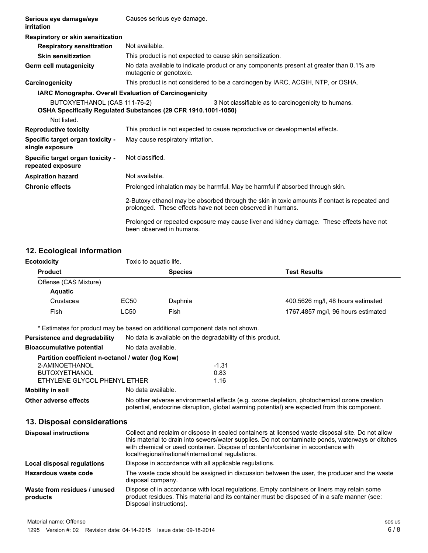| Serious eye damage/eye<br>irritation                  | Causes serious eye damage.                                                                                          |                                                                                                                                                             |  |
|-------------------------------------------------------|---------------------------------------------------------------------------------------------------------------------|-------------------------------------------------------------------------------------------------------------------------------------------------------------|--|
| Respiratory or skin sensitization                     |                                                                                                                     |                                                                                                                                                             |  |
| <b>Respiratory sensitization</b>                      | Not available.                                                                                                      |                                                                                                                                                             |  |
| <b>Skin sensitization</b>                             | This product is not expected to cause skin sensitization.                                                           |                                                                                                                                                             |  |
| <b>Germ cell mutagenicity</b>                         | No data available to indicate product or any components present at greater than 0.1% are<br>mutagenic or genotoxic. |                                                                                                                                                             |  |
| Carcinogenicity                                       |                                                                                                                     | This product is not considered to be a carcinogen by IARC, ACGIH, NTP, or OSHA.                                                                             |  |
|                                                       | <b>IARC Monographs. Overall Evaluation of Carcinogenicity</b>                                                       |                                                                                                                                                             |  |
| BUTOXYETHANOL (CAS 111-76-2)<br>Not listed.           | OSHA Specifically Regulated Substances (29 CFR 1910.1001-1050)                                                      | 3 Not classifiable as to carcinogenicity to humans.                                                                                                         |  |
| <b>Reproductive toxicity</b>                          | This product is not expected to cause reproductive or developmental effects.                                        |                                                                                                                                                             |  |
| Specific target organ toxicity -<br>single exposure   | May cause respiratory irritation.                                                                                   |                                                                                                                                                             |  |
| Specific target organ toxicity -<br>repeated exposure | Not classified.                                                                                                     |                                                                                                                                                             |  |
| <b>Aspiration hazard</b>                              | Not available.                                                                                                      |                                                                                                                                                             |  |
| <b>Chronic effects</b>                                |                                                                                                                     | Prolonged inhalation may be harmful. May be harmful if absorbed through skin.                                                                               |  |
|                                                       |                                                                                                                     | 2-Butoxy ethanol may be absorbed through the skin in toxic amounts if contact is repeated and<br>prolonged. These effects have not been observed in humans. |  |
|                                                       | been observed in humans.                                                                                            | Prolonged or repeated exposure may cause liver and kidney damage. These effects have not                                                                    |  |

# **12. Ecological information**

| $12.$ Loorogroup intermation.                                                                                               |                    |                                                                                                                                                                                                                                                                                                                                                   |                                    |  |  |
|-----------------------------------------------------------------------------------------------------------------------------|--------------------|---------------------------------------------------------------------------------------------------------------------------------------------------------------------------------------------------------------------------------------------------------------------------------------------------------------------------------------------------|------------------------------------|--|--|
| <b>Ecotoxicity</b>                                                                                                          |                    | Toxic to aquatic life.                                                                                                                                                                                                                                                                                                                            |                                    |  |  |
| <b>Product</b>                                                                                                              |                    | <b>Species</b>                                                                                                                                                                                                                                                                                                                                    | <b>Test Results</b>                |  |  |
| Offense (CAS Mixture)                                                                                                       |                    |                                                                                                                                                                                                                                                                                                                                                   |                                    |  |  |
| <b>Aquatic</b>                                                                                                              |                    |                                                                                                                                                                                                                                                                                                                                                   |                                    |  |  |
| Crustacea                                                                                                                   | EC50               | Daphnia                                                                                                                                                                                                                                                                                                                                           | 400.5626 mg/l, 48 hours estimated  |  |  |
| Fish                                                                                                                        | <b>LC50</b>        | Fish                                                                                                                                                                                                                                                                                                                                              | 1767.4857 mg/l, 96 hours estimated |  |  |
| * Estimates for product may be based on additional component data not shown.                                                |                    |                                                                                                                                                                                                                                                                                                                                                   |                                    |  |  |
| Persistence and degradability                                                                                               |                    | No data is available on the degradability of this product.                                                                                                                                                                                                                                                                                        |                                    |  |  |
| <b>Bioaccumulative potential</b>                                                                                            |                    | No data available.                                                                                                                                                                                                                                                                                                                                |                                    |  |  |
| Partition coefficient n-octanol / water (log Kow)<br>2-AMINOETHANOL<br><b>BUTOXYETHANOL</b><br>ETHYLENE GLYCOL PHENYL ETHER |                    | $-1.31$<br>0.83<br>1.16                                                                                                                                                                                                                                                                                                                           |                                    |  |  |
| <b>Mobility in soil</b>                                                                                                     | No data available. |                                                                                                                                                                                                                                                                                                                                                   |                                    |  |  |
| Other adverse effects                                                                                                       |                    | No other adverse environmental effects (e.g. ozone depletion, photochemical ozone creation<br>potential, endocrine disruption, global warming potential) are expected from this component.                                                                                                                                                        |                                    |  |  |
| 13. Disposal considerations                                                                                                 |                    |                                                                                                                                                                                                                                                                                                                                                   |                                    |  |  |
| <b>Disposal instructions</b>                                                                                                |                    | Collect and reclaim or dispose in sealed containers at licensed waste disposal site. Do not allow<br>this material to drain into sewers/water supplies. Do not contaminate ponds, waterways or ditches<br>with chemical or used container. Dispose of contents/container in accordance with<br>local/regional/national/international regulations. |                                    |  |  |
| Local disposal regulations                                                                                                  |                    | Dispose in accordance with all applicable regulations.                                                                                                                                                                                                                                                                                            |                                    |  |  |
| Hazardous waste code                                                                                                        |                    | The waste code should be assigned in discussion between the user, the producer and the waste<br>disposal company.                                                                                                                                                                                                                                 |                                    |  |  |
| Waste from residues / unused                                                                                                |                    | Dispose of in accordance with local regulations. Empty containers or liners may retain some                                                                                                                                                                                                                                                       |                                    |  |  |

product residues. This material and its container must be disposed of in a safe manner (see:

Material name: Offense

**products**

Disposal instructions).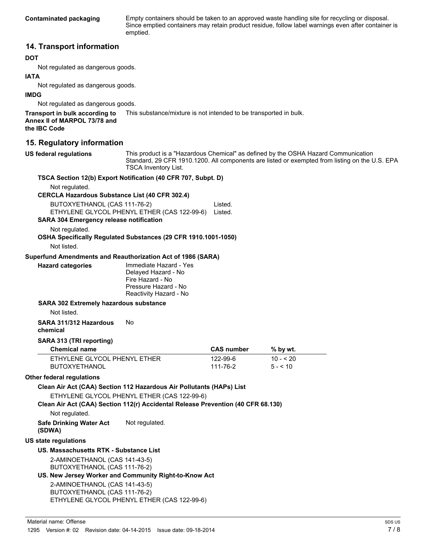**Contaminated packaging** Empty containers should be taken to an approved waste handling site for recycling or disposal. Since emptied containers may retain product residue, follow label warnings even after container is emptied.

## **14. Transport information**

#### **DOT**

Not regulated as dangerous goods.

#### **IATA**

Not regulated as dangerous goods.

#### **IMDG**

Not regulated as dangerous goods.

**Transport in bulk according to** This substance/mixture is not intended to be transported in bulk. **Annex II of MARPOL 73/78 and the IBC Code**

## **15. Regulatory information**

**US federal regulations** This product is a "Hazardous Chemical" as defined by the OSHA Hazard Communication Standard, 29 CFR 1910.1200. All components are listed or exempted from listing on the U.S. EPA TSCA Inventory List.

|                                                             | <b>ISCA Inventory LIST.</b>                                                      |                   |           |  |
|-------------------------------------------------------------|----------------------------------------------------------------------------------|-------------------|-----------|--|
|                                                             | TSCA Section 12(b) Export Notification (40 CFR 707, Subpt. D)                    |                   |           |  |
| Not regulated.                                              |                                                                                  |                   |           |  |
| <b>CERCLA Hazardous Substance List (40 CFR 302.4)</b>       |                                                                                  |                   |           |  |
| BUTOXYETHANOL (CAS 111-76-2)<br>Listed.                     |                                                                                  |                   |           |  |
| ETHYLENE GLYCOL PHENYL ETHER (CAS 122-99-6)                 | Listed.                                                                          |                   |           |  |
| <b>SARA 304 Emergency release notification</b>              |                                                                                  |                   |           |  |
| Not regulated.                                              |                                                                                  |                   |           |  |
|                                                             | OSHA Specifically Regulated Substances (29 CFR 1910.1001-1050)                   |                   |           |  |
| Not listed.                                                 |                                                                                  |                   |           |  |
| Superfund Amendments and Reauthorization Act of 1986 (SARA) |                                                                                  |                   |           |  |
| <b>Hazard categories</b>                                    | Immediate Hazard - Yes<br>Delayed Hazard - No                                    |                   |           |  |
|                                                             | Fire Hazard - No                                                                 |                   |           |  |
|                                                             | Pressure Hazard - No                                                             |                   |           |  |
|                                                             | Reactivity Hazard - No                                                           |                   |           |  |
| <b>SARA 302 Extremely hazardous substance</b>               |                                                                                  |                   |           |  |
| Not listed.                                                 |                                                                                  |                   |           |  |
| SARA 311/312 Hazardous                                      | No                                                                               |                   |           |  |
| chemical                                                    |                                                                                  |                   |           |  |
| SARA 313 (TRI reporting)                                    |                                                                                  |                   |           |  |
| <b>Chemical name</b>                                        |                                                                                  | <b>CAS number</b> | % by wt.  |  |
| ETHYLENE GLYCOL PHENYL ETHER                                |                                                                                  | 122-99-6          | $10 - 20$ |  |
| <b>BUTOXYETHANOL</b>                                        |                                                                                  | 111-76-2          | $5 - 10$  |  |
| <b>Other federal regulations</b>                            |                                                                                  |                   |           |  |
|                                                             | Clean Air Act (CAA) Section 112 Hazardous Air Pollutants (HAPs) List             |                   |           |  |
|                                                             | ETHYLENE GLYCOL PHENYL ETHER (CAS 122-99-6)                                      |                   |           |  |
|                                                             | Clean Air Act (CAA) Section 112(r) Accidental Release Prevention (40 CFR 68.130) |                   |           |  |
| Not regulated.                                              |                                                                                  |                   |           |  |
|                                                             |                                                                                  |                   |           |  |
| <b>Safe Drinking Water Act</b>                              | Not regulated.                                                                   |                   |           |  |
| (SDWA)                                                      |                                                                                  |                   |           |  |
| <b>US state regulations</b>                                 |                                                                                  |                   |           |  |
| US. Massachusetts RTK - Substance List                      |                                                                                  |                   |           |  |
| 2-AMINOETHANOL (CAS 141-43-5)                               |                                                                                  |                   |           |  |
| BUTOXYETHANOL (CAS 111-76-2)                                |                                                                                  |                   |           |  |
|                                                             | US. New Jersey Worker and Community Right-to-Know Act                            |                   |           |  |
| 2-AMINOETHANOL (CAS 141-43-5)                               |                                                                                  |                   |           |  |
| BUTOXYETHANOL (CAS 111-76-2)                                | ETHYLENE GLYCOL PHENYL ETHER (CAS 122-99-6)                                      |                   |           |  |
|                                                             |                                                                                  |                   |           |  |